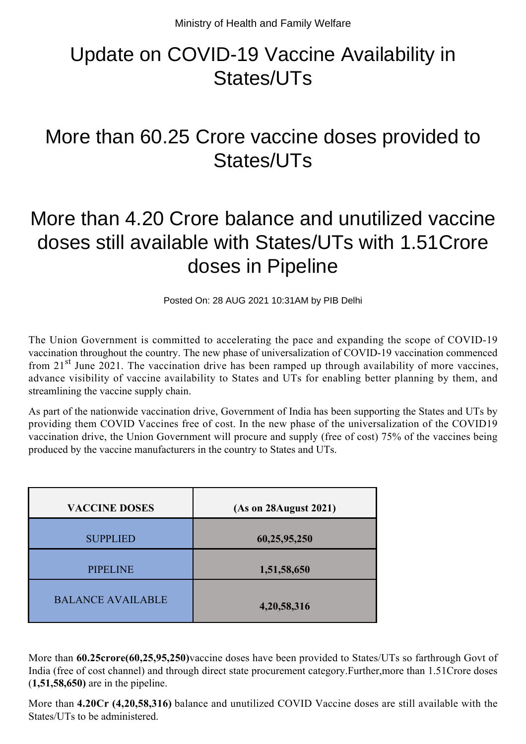## Update on COVID-19 Vaccine Availability in States/UTs

## More than 60.25 Crore vaccine doses provided to States/UTs

## More than 4.20 Crore balance and unutilized vaccine doses still available with States/UTs with 1.51Crore doses in Pipeline

Posted On: 28 AUG 2021 10:31AM by PIB Delhi

The Union Government is committed to accelerating the pace and expanding the scope of COVID-19 vaccination throughout the country. The new phase of universalization of COVID-19 vaccination commenced from  $21<sup>st</sup>$  June 2021. The vaccination drive has been ramped up through availability of more vaccines, advance visibility of vaccine availability to States and UTs for enabling better planning by them, and streamlining the vaccine supply chain.

As part of the nationwide vaccination drive, Government of India has been supporting the States and UTs by providing them COVID Vaccines free of cost. In the new phase of the universalization of the COVID19 vaccination drive, the Union Government will procure and supply (free of cost) 75% of the vaccines being produced by the vaccine manufacturers in the country to States and UTs.

| <b>VACCINE DOSES</b>     | (As on 28 August 2021) |
|--------------------------|------------------------|
| <b>SUPPLIED</b>          | 60,25,95,250           |
| <b>PIPELINE</b>          | 1,51,58,650            |
| <b>BALANCE AVAILABLE</b> | 4,20,58,316            |

More than **60.25crore(60,25,95,250)**vaccine doses have been provided to States/UTs so farthrough Govt of India (free of cost channel) and through direct state procurement category.Further,more than 1.51Crore doses (**1,51,58,650)** are in the pipeline.

More than **4.20Cr (4,20,58,316)** balance and unutilized COVID Vaccine doses are still available with the States/UTs to be administered.